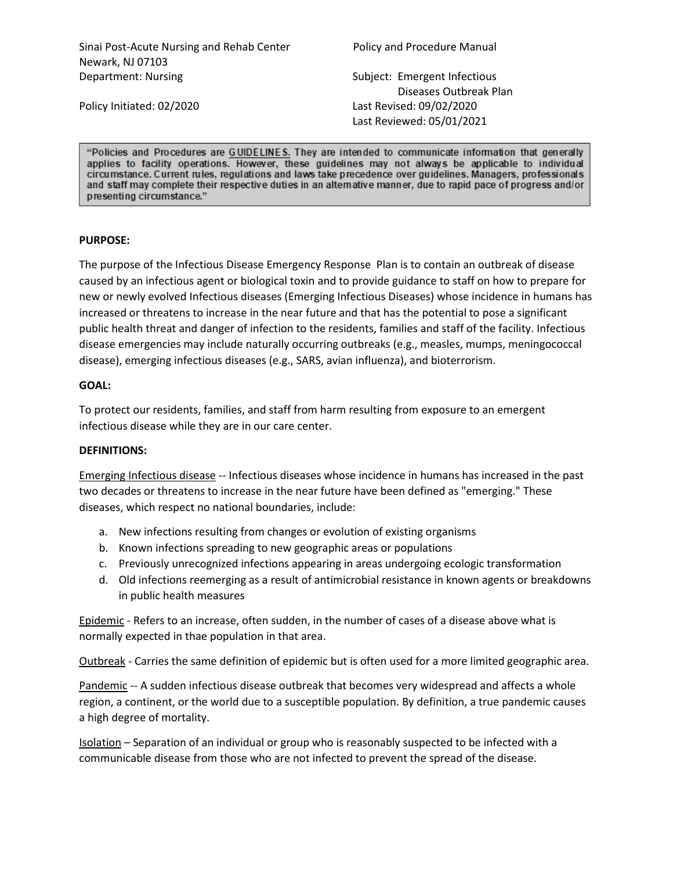Sinai Post-Acute Nursing and Rehab Center Policy and Procedure Manual Newark, NJ 07103 Department: Nursing Subject: Emergent Infectious

 Diseases Outbreak Plan Policy Initiated: 02/2020 Last Revised: 09/02/2020 Last Reviewed: 05/01/2021

"Policies and Procedures are GUIDELINES. They are intended to communicate information that generally applies to facility operations. However, these guidelines may not always be applicable to individual circumstance. Current rules, regulations and laws take precedence over guidelines. Managers, professionals and staff may complete their respective duties in an alternative manner, due to rapid pace of progress and/or presenting circumstance."

#### **PURPOSE:**

The purpose of the Infectious Disease Emergency Response Plan is to contain an outbreak of disease caused by an infectious agent or biological toxin and to provide guidance to staff on how to prepare for new or newly evolved Infectious diseases (Emerging Infectious Diseases) whose incidence in humans has increased or threatens to increase in the near future and that has the potential to pose a significant public health threat and danger of infection to the residents, families and staff of the facility. Infectious disease emergencies may include naturally occurring outbreaks (e.g., measles, mumps, meningococcal disease), emerging infectious diseases (e.g., SARS, avian influenza), and bioterrorism.

#### **GOAL:**

To protect our residents, families, and staff from harm resulting from exposure to an emergent infectious disease while they are in our care center.

## **DEFINITIONS:**

Emerging Infectious disease -- Infectious diseases whose incidence in humans has increased in the past two decades or threatens to increase in the near future have been defined as "emerging." These diseases, which respect no national boundaries, include:

- a. New infections resulting from changes or evolution of existing organisms
- b. Known infections spreading to new geographic areas or populations
- c. Previously unrecognized infections appearing in areas undergoing ecologic transformation
- d. Old infections reemerging as a result of antimicrobial resistance in known agents or breakdowns in public health measures

Epidemic - Refers to an increase, often sudden, in the number of cases of a disease above what is normally expected in thae population in that area.

Outbreak - Carries the same definition of epidemic but is often used for a more limited geographic area.

Pandemic -- A sudden infectious disease outbreak that becomes very widespread and affects a whole region, a continent, or the world due to a susceptible population. By definition, a true pandemic causes a high degree of mortality.

Isolation – Separation of an individual or group who is reasonably suspected to be infected with a communicable disease from those who are not infected to prevent the spread of the disease.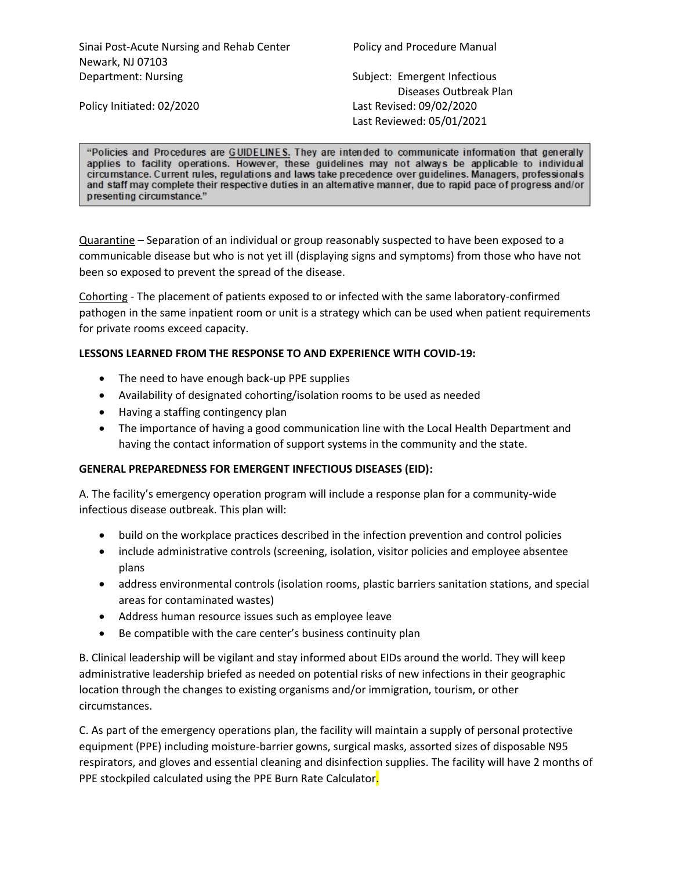Sinai Post-Acute Nursing and Rehab Center Policy and Procedure Manual Newark, NJ 07103 Department: Nursing Subject: Emergent Infectious

 Diseases Outbreak Plan Policy Initiated: 02/2020 Last Revised: 09/02/2020 Last Reviewed: 05/01/2021

"Policies and Procedures are GUIDELINES. They are intended to communicate information that generally applies to facility operations. However, these guidelines may not always be applicable to individual circumstance. Current rules, regulations and laws take precedence over guidelines. Managers, professionals and staff may complete their respective duties in an alternative manner, due to rapid pace of progress and/or presenting circumstance."

Quarantine – Separation of an individual or group reasonably suspected to have been exposed to a communicable disease but who is not yet ill (displaying signs and symptoms) from those who have not been so exposed to prevent the spread of the disease.

Cohorting - The placement of patients exposed to or infected with the same laboratory-confirmed pathogen in the same inpatient room or unit is a strategy which can be used when patient requirements for private rooms exceed capacity.

## **LESSONS LEARNED FROM THE RESPONSE TO AND EXPERIENCE WITH COVID-19:**

- The need to have enough back-up PPE supplies
- Availability of designated cohorting/isolation rooms to be used as needed
- Having a staffing contingency plan
- The importance of having a good communication line with the Local Health Department and having the contact information of support systems in the community and the state.

## **GENERAL PREPAREDNESS FOR EMERGENT INFECTIOUS DISEASES (EID):**

A. The facility's emergency operation program will include a response plan for a community-wide infectious disease outbreak. This plan will:

- build on the workplace practices described in the infection prevention and control policies
- include administrative controls (screening, isolation, visitor policies and employee absentee plans
- address environmental controls (isolation rooms, plastic barriers sanitation stations, and special areas for contaminated wastes)
- Address human resource issues such as employee leave
- Be compatible with the care center's business continuity plan

B. Clinical leadership will be vigilant and stay informed about EIDs around the world. They will keep administrative leadership briefed as needed on potential risks of new infections in their geographic location through the changes to existing organisms and/or immigration, tourism, or other circumstances.

C. As part of the emergency operations plan, the facility will maintain a supply of personal protective equipment (PPE) including moisture-barrier gowns, surgical masks, assorted sizes of disposable N95 respirators, and gloves and essential cleaning and disinfection supplies. The facility will have 2 months of PPE stockpiled calculated using the PPE Burn Rate Calculator.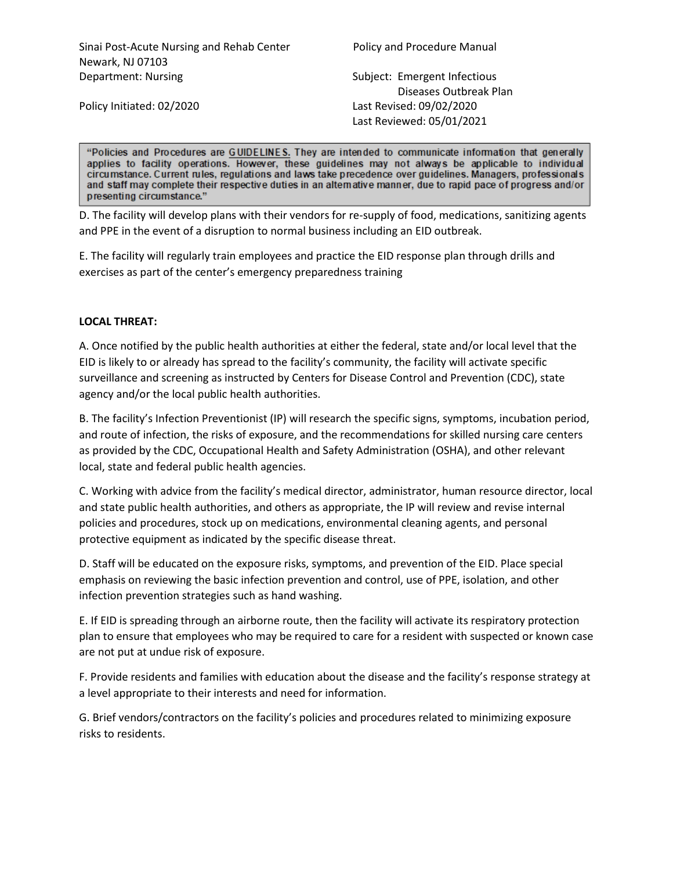Sinai Post-Acute Nursing and Rehab Center Policy and Procedure Manual Newark, NJ 07103 Department: Nursing Subject: Emergent Infectious

 Diseases Outbreak Plan Policy Initiated: 02/2020 Last Revised: 09/02/2020 Last Reviewed: 05/01/2021

"Policies and Procedures are GUIDELINES. They are intended to communicate information that generally applies to facility operations. However, these guidelines may not always be applicable to individual circumstance. Current rules, regulations and laws take precedence over guidelines. Managers, professionals and staff may complete their respective duties in an alternative manner, due to rapid pace of progress and/or presenting circumstance."

D. The facility will develop plans with their vendors for re-supply of food, medications, sanitizing agents and PPE in the event of a disruption to normal business including an EID outbreak.

E. The facility will regularly train employees and practice the EID response plan through drills and exercises as part of the center's emergency preparedness training

## **LOCAL THREAT:**

A. Once notified by the public health authorities at either the federal, state and/or local level that the EID is likely to or already has spread to the facility's community, the facility will activate specific surveillance and screening as instructed by Centers for Disease Control and Prevention (CDC), state agency and/or the local public health authorities.

B. The facility's Infection Preventionist (IP) will research the specific signs, symptoms, incubation period, and route of infection, the risks of exposure, and the recommendations for skilled nursing care centers as provided by the CDC, Occupational Health and Safety Administration (OSHA), and other relevant local, state and federal public health agencies.

C. Working with advice from the facility's medical director, administrator, human resource director, local and state public health authorities, and others as appropriate, the IP will review and revise internal policies and procedures, stock up on medications, environmental cleaning agents, and personal protective equipment as indicated by the specific disease threat.

D. Staff will be educated on the exposure risks, symptoms, and prevention of the EID. Place special emphasis on reviewing the basic infection prevention and control, use of PPE, isolation, and other infection prevention strategies such as hand washing.

E. If EID is spreading through an airborne route, then the facility will activate its respiratory protection plan to ensure that employees who may be required to care for a resident with suspected or known case are not put at undue risk of exposure.

F. Provide residents and families with education about the disease and the facility's response strategy at a level appropriate to their interests and need for information.

G. Brief vendors/contractors on the facility's policies and procedures related to minimizing exposure risks to residents.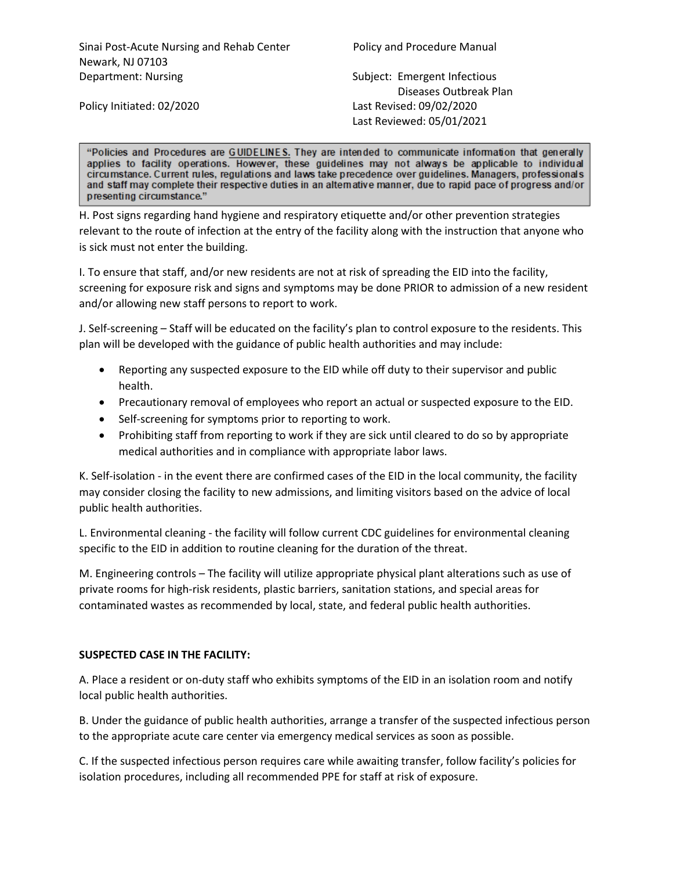Diseases Outbreak Plan Policy Initiated: 02/2020 Last Revised: 09/02/2020 Last Reviewed: 05/01/2021

"Policies and Procedures are GUIDELINES. They are intended to communicate information that generally applies to facility operations. However, these guidelines may not always be applicable to individual circumstance. Current rules, regulations and laws take precedence over guidelines. Managers, professionals and staff may complete their respective duties in an alternative manner, due to rapid pace of progress and/or presenting circumstance."

H. Post signs regarding hand hygiene and respiratory etiquette and/or other prevention strategies relevant to the route of infection at the entry of the facility along with the instruction that anyone who is sick must not enter the building.

I. To ensure that staff, and/or new residents are not at risk of spreading the EID into the facility, screening for exposure risk and signs and symptoms may be done PRIOR to admission of a new resident and/or allowing new staff persons to report to work.

J. Self-screening – Staff will be educated on the facility's plan to control exposure to the residents. This plan will be developed with the guidance of public health authorities and may include:

- Reporting any suspected exposure to the EID while off duty to their supervisor and public health.
- Precautionary removal of employees who report an actual or suspected exposure to the EID.
- Self-screening for symptoms prior to reporting to work.
- Prohibiting staff from reporting to work if they are sick until cleared to do so by appropriate medical authorities and in compliance with appropriate labor laws.

K. Self-isolation - in the event there are confirmed cases of the EID in the local community, the facility may consider closing the facility to new admissions, and limiting visitors based on the advice of local public health authorities.

L. Environmental cleaning - the facility will follow current CDC guidelines for environmental cleaning specific to the EID in addition to routine cleaning for the duration of the threat.

M. Engineering controls – The facility will utilize appropriate physical plant alterations such as use of private rooms for high-risk residents, plastic barriers, sanitation stations, and special areas for contaminated wastes as recommended by local, state, and federal public health authorities.

# **SUSPECTED CASE IN THE FACILITY:**

A. Place a resident or on-duty staff who exhibits symptoms of the EID in an isolation room and notify local public health authorities.

B. Under the guidance of public health authorities, arrange a transfer of the suspected infectious person to the appropriate acute care center via emergency medical services as soon as possible.

C. If the suspected infectious person requires care while awaiting transfer, follow facility's policies for isolation procedures, including all recommended PPE for staff at risk of exposure.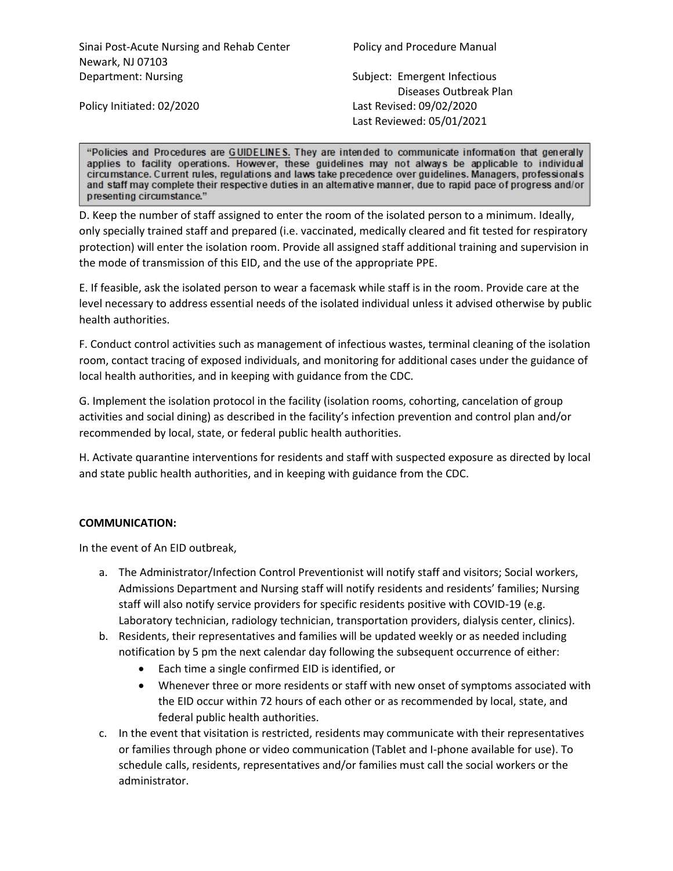Sinai Post-Acute Nursing and Rehab Center Policy and Procedure Manual Newark, NJ 07103 Department: Nursing The Subject: Emergent Infectious

 Diseases Outbreak Plan Policy Initiated: 02/2020 Last Revised: 09/02/2020 Last Reviewed: 05/01/2021

"Policies and Procedures are GUIDELINES. They are intended to communicate information that generally applies to facility operations. However, these guidelines may not always be applicable to individual circumstance. Current rules, regulations and laws take precedence over guidelines. Managers, professionals and staff may complete their respective duties in an alternative manner, due to rapid pace of progress and/or presenting circumstance."

D. Keep the number of staff assigned to enter the room of the isolated person to a minimum. Ideally, only specially trained staff and prepared (i.e. vaccinated, medically cleared and fit tested for respiratory protection) will enter the isolation room. Provide all assigned staff additional training and supervision in the mode of transmission of this EID, and the use of the appropriate PPE.

E. If feasible, ask the isolated person to wear a facemask while staff is in the room. Provide care at the level necessary to address essential needs of the isolated individual unless it advised otherwise by public health authorities.

F. Conduct control activities such as management of infectious wastes, terminal cleaning of the isolation room, contact tracing of exposed individuals, and monitoring for additional cases under the guidance of local health authorities, and in keeping with guidance from the CDC.

G. Implement the isolation protocol in the facility (isolation rooms, cohorting, cancelation of group activities and social dining) as described in the facility's infection prevention and control plan and/or recommended by local, state, or federal public health authorities.

H. Activate quarantine interventions for residents and staff with suspected exposure as directed by local and state public health authorities, and in keeping with guidance from the CDC.

## **COMMUNICATION:**

In the event of An EID outbreak,

- a. The Administrator/Infection Control Preventionist will notify staff and visitors; Social workers, Admissions Department and Nursing staff will notify residents and residents' families; Nursing staff will also notify service providers for specific residents positive with COVID-19 (e.g. Laboratory technician, radiology technician, transportation providers, dialysis center, clinics).
- b. Residents, their representatives and families will be updated weekly or as needed including notification by 5 pm the next calendar day following the subsequent occurrence of either:
	- Each time a single confirmed EID is identified, or
	- Whenever three or more residents or staff with new onset of symptoms associated with the EID occur within 72 hours of each other or as recommended by local, state, and federal public health authorities.
- c. In the event that visitation is restricted, residents may communicate with their representatives or families through phone or video communication (Tablet and I-phone available for use). To schedule calls, residents, representatives and/or families must call the social workers or the administrator.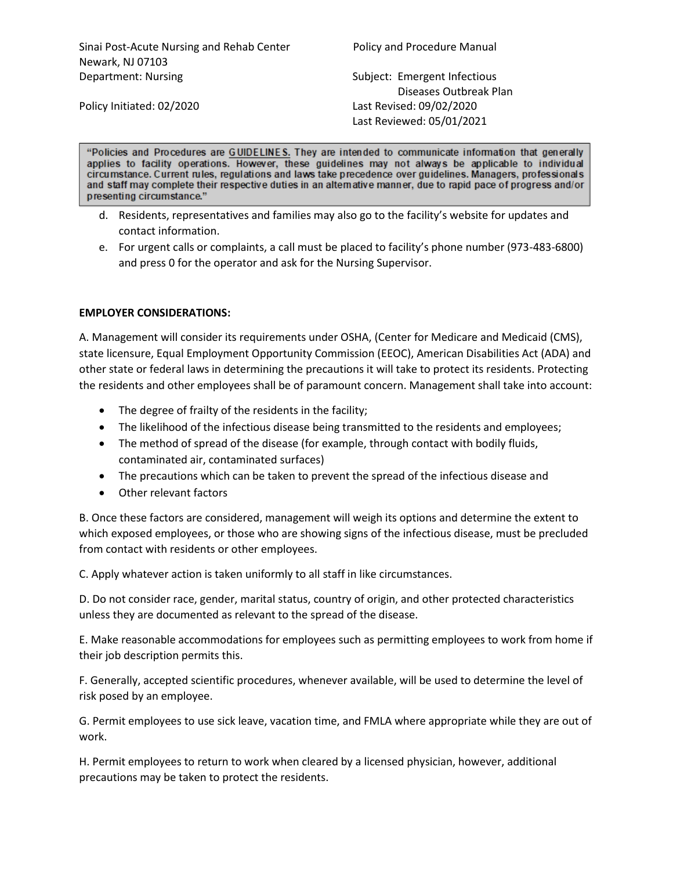Sinai Post-Acute Nursing and Rehab Center Policy and Procedure Manual Newark, NJ 07103 Department: Nursing The Subject: Emergent Infectious

 Diseases Outbreak Plan Policy Initiated: 02/2020 Last Revised: 09/02/2020 Last Reviewed: 05/01/2021

"Policies and Procedures are GUIDELINES. They are intended to communicate information that generally applies to facility operations. However, these guidelines may not always be applicable to individual circumstance. Current rules, regulations and laws take precedence over guidelines. Managers, professionals and staff may complete their respective duties in an alternative manner, due to rapid pace of progress and/or

- d. Residents, representatives and families may also go to the facility's website for updates and contact information.
- e. For urgent calls or complaints, a call must be placed to facility's phone number (973-483-6800) and press 0 for the operator and ask for the Nursing Supervisor.

## **EMPLOYER CONSIDERATIONS:**

presenting circumstance."

A. Management will consider its requirements under OSHA, (Center for Medicare and Medicaid (CMS), state licensure, Equal Employment Opportunity Commission (EEOC), American Disabilities Act (ADA) and other state or federal laws in determining the precautions it will take to protect its residents. Protecting the residents and other employees shall be of paramount concern. Management shall take into account:

- The degree of frailty of the residents in the facility;
- The likelihood of the infectious disease being transmitted to the residents and employees;
- The method of spread of the disease (for example, through contact with bodily fluids, contaminated air, contaminated surfaces)
- The precautions which can be taken to prevent the spread of the infectious disease and
- Other relevant factors

B. Once these factors are considered, management will weigh its options and determine the extent to which exposed employees, or those who are showing signs of the infectious disease, must be precluded from contact with residents or other employees.

C. Apply whatever action is taken uniformly to all staff in like circumstances.

D. Do not consider race, gender, marital status, country of origin, and other protected characteristics unless they are documented as relevant to the spread of the disease.

E. Make reasonable accommodations for employees such as permitting employees to work from home if their job description permits this.

F. Generally, accepted scientific procedures, whenever available, will be used to determine the level of risk posed by an employee.

G. Permit employees to use sick leave, vacation time, and FMLA where appropriate while they are out of work.

H. Permit employees to return to work when cleared by a licensed physician, however, additional precautions may be taken to protect the residents.